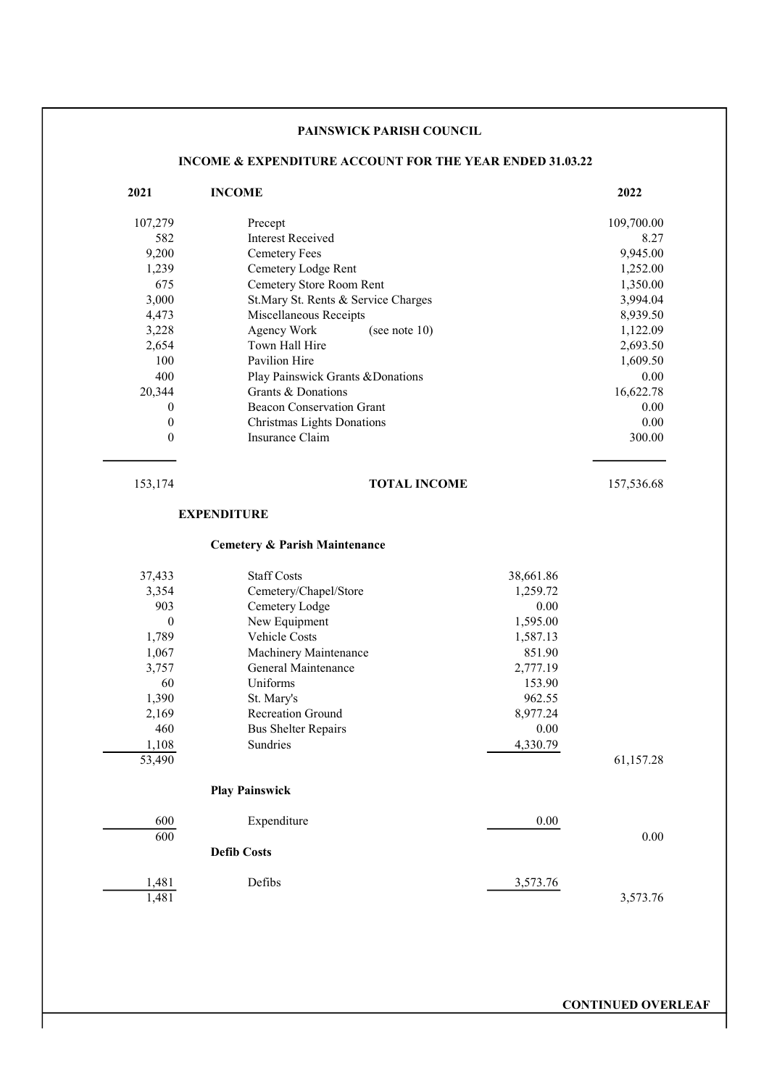# PAINSWICK PARISH COUNCIL

# INCOME & EXPENDITURE ACCOUNT FOR THE YEAR ENDED 31.03.22

| 2021     | <b>INCOME</b>                            |           | 2022       |
|----------|------------------------------------------|-----------|------------|
| 107,279  | Precept                                  |           | 109,700.00 |
| 582      | <b>Interest Received</b>                 |           | 8.27       |
| 9,200    | <b>Cemetery Fees</b>                     |           | 9,945.00   |
| 1,239    | Cemetery Lodge Rent                      |           | 1,252.00   |
| 675      | Cemetery Store Room Rent                 |           | 1,350.00   |
| 3,000    | St.Mary St. Rents & Service Charges      |           | 3,994.04   |
| 4,473    | Miscellaneous Receipts                   |           | 8,939.50   |
| 3,228    | Agency Work<br>(see note $10$ )          |           | 1,122.09   |
| 2,654    | Town Hall Hire                           |           | 2,693.50   |
| 100      | Pavilion Hire                            |           | 1,609.50   |
| 400      | Play Painswick Grants & Donations        |           | 0.00       |
| 20,344   | Grants & Donations                       |           | 16,622.78  |
| 0        | <b>Beacon Conservation Grant</b>         |           | 0.00       |
| $\theta$ | Christmas Lights Donations               |           | 0.00       |
| $\theta$ | Insurance Claim                          |           | 300.00     |
| 153,174  | <b>TOTAL INCOME</b>                      |           | 157,536.68 |
|          | <b>EXPENDITURE</b>                       |           |            |
|          | <b>Cemetery &amp; Parish Maintenance</b> |           |            |
| 37,433   | <b>Staff Costs</b>                       | 38,661.86 |            |
| 3,354    | Cemetery/Chapel/Store                    | 1,259.72  |            |
| 903      | Cemetery Lodge                           | 0.00      |            |
| $\theta$ | New Equipment                            | 1,595.00  |            |
| 1,789    | Vehicle Costs                            | 1,587.13  |            |
| 1,067    | Machinery Maintenance                    | 851.90    |            |
| 3,757    | General Maintenance                      | 2,777.19  |            |
| 60       | Uniforms                                 | 153.90    |            |
| 1,390    | St. Mary's                               | 962.55    |            |
| 2,169    | <b>Recreation Ground</b>                 | 8,977.24  |            |
| 460      | <b>Bus Shelter Repairs</b>               | 0.00      |            |
| 1,108    | Sundries                                 | 4,330.79  |            |
| 53,490   |                                          |           | 61,157.28  |
|          | <b>Play Painswick</b>                    |           |            |
| 600      | Expenditure                              | $0.00\,$  |            |
| 600      |                                          |           | 0.00       |
|          | <b>Defib Costs</b>                       |           |            |
| 1,481    | Defibs                                   | 3,573.76  |            |
| 1,481    |                                          |           | 3,573.76   |

CONTINUED OVERLEAF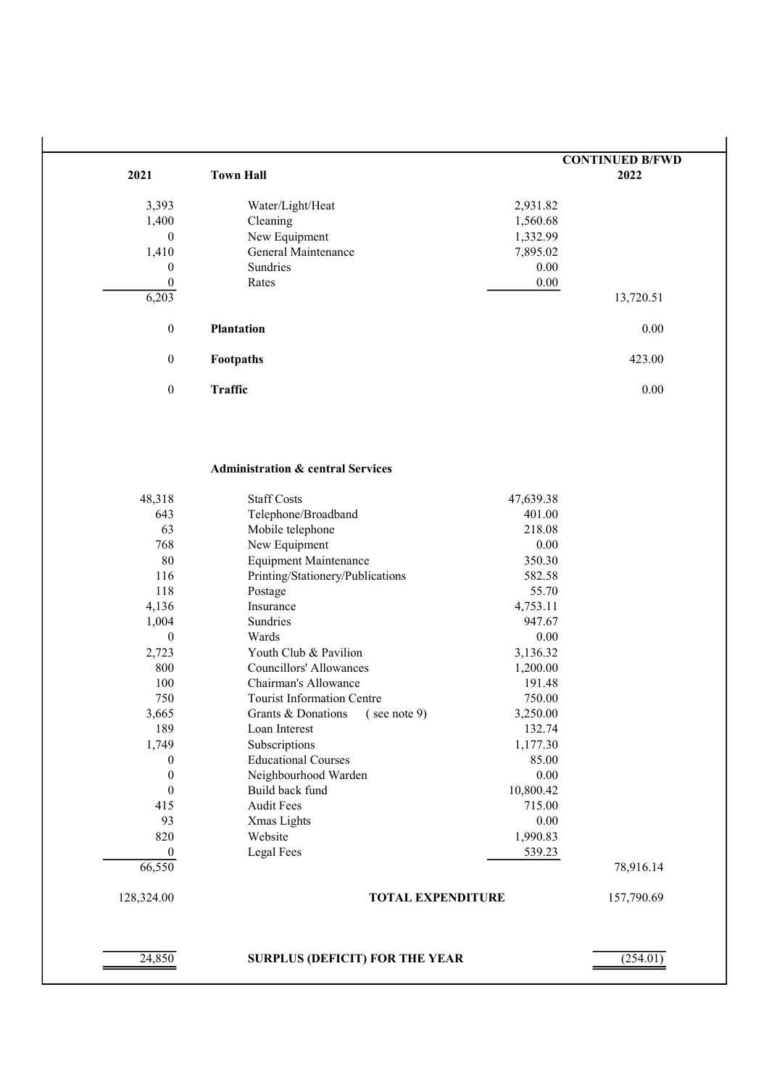|                  |                     |           | <b>CONTINUED B/FWD</b> |  |
|------------------|---------------------|-----------|------------------------|--|
| 2021             | <b>Town Hall</b>    | 2022      |                        |  |
| 3,393            | Water/Light/Heat    | 2,931.82  |                        |  |
| 1,400            | Cleaning            | 1,560.68  |                        |  |
| $\theta$         | New Equipment       | 1,332.99  |                        |  |
| 1,410            | General Maintenance | 7,895.02  |                        |  |
| $\boldsymbol{0}$ | Sundries            | 0.00      |                        |  |
| $\theta$         | Rates               | 0.00      |                        |  |
| 6,203            |                     | 13,720.51 |                        |  |
| $\boldsymbol{0}$ | <b>Plantation</b>   | 0.00      |                        |  |
| $\boldsymbol{0}$ | Footpaths           | 423.00    |                        |  |
| $\boldsymbol{0}$ | <b>Traffic</b>      | 0.00      |                        |  |

## Administration & central Services

| 24,850           | <b>SURPLUS (DEFICIT) FOR THE YEAR</b>    |           | (254.01)   |
|------------------|------------------------------------------|-----------|------------|
| 128,324.00       | <b>TOTAL EXPENDITURE</b>                 |           | 157,790.69 |
| 66,550           |                                          |           | 78,916.14  |
| 0                | Legal Fees                               | 539.23    |            |
| 820              | Website                                  | 1,990.83  |            |
| 93               | Xmas Lights                              | 0.00      |            |
| 415              | <b>Audit Fees</b>                        | 715.00    |            |
| $\theta$         | Build back fund                          | 10,800.42 |            |
| $\theta$         | Neighbourhood Warden                     | 0.00      |            |
| $\boldsymbol{0}$ | <b>Educational Courses</b>               | 85.00     |            |
| 1,749            | Subscriptions                            | 1,177.30  |            |
| 189              | Loan Interest                            | 132.74    |            |
| 3,665            | Grants & Donations<br>$($ see note 9 $)$ | 3,250.00  |            |
| 750              | <b>Tourist Information Centre</b>        | 750.00    |            |
| 100              | Chairman's Allowance                     | 191.48    |            |
| 800              | <b>Councillors' Allowances</b>           | 1,200.00  |            |
| 2,723            | Youth Club & Pavilion                    | 3,136.32  |            |
| $\theta$         | Wards                                    | 0.00      |            |
| 1,004            | Sundries                                 | 947.67    |            |
| 4,136            | Insurance                                | 4,753.11  |            |
| 118              | Postage                                  | 55.70     |            |
| 116              | Printing/Stationery/Publications         | 582.58    |            |
| 80               | <b>Equipment Maintenance</b>             | 350.30    |            |
| 768              | New Equipment                            | 0.00      |            |
| 63               | Mobile telephone                         | 218.08    |            |
| 643              | Telephone/Broadband                      | 401.00    |            |
| 48,318           | <b>Staff Costs</b>                       | 47,639.38 |            |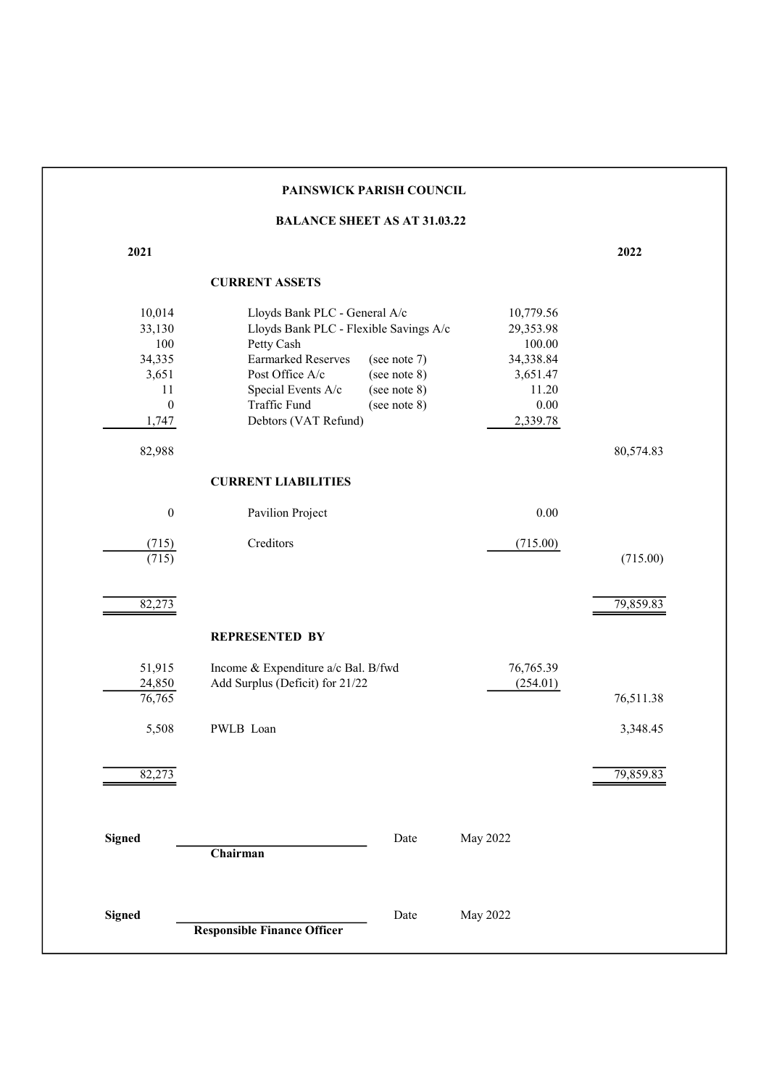|                  | PAINSWICK PARISH COUNCIL                  |           |           |
|------------------|-------------------------------------------|-----------|-----------|
|                  | <b>BALANCE SHEET AS AT 31.03.22</b>       |           |           |
| 2021             |                                           |           | 2022      |
|                  | <b>CURRENT ASSETS</b>                     |           |           |
| 10,014           | Lloyds Bank PLC - General A/c             | 10,779.56 |           |
| 33,130           | Lloyds Bank PLC - Flexible Savings A/c    | 29,353.98 |           |
| 100              | Petty Cash                                | 100.00    |           |
| 34,335           | <b>Earmarked Reserves</b><br>(see note 7) | 34,338.84 |           |
| 3,651            | Post Office A/c<br>(see note 8)           | 3,651.47  |           |
| 11               | Special Events A/c<br>(see note 8)        | 11.20     |           |
| $\boldsymbol{0}$ | Traffic Fund<br>(see note 8)              | $0.00\,$  |           |
| 1,747            | Debtors (VAT Refund)                      | 2,339.78  |           |
| 82,988           |                                           |           | 80,574.83 |
|                  | <b>CURRENT LIABILITIES</b>                |           |           |
| $\boldsymbol{0}$ | Pavilion Project                          | $0.00\,$  |           |
| (715)            | Creditors                                 | (715.00)  |           |
| (715)            |                                           |           | (715.00)  |
|                  |                                           |           |           |
| 82,273           |                                           |           | 79,859.83 |
|                  | <b>REPRESENTED BY</b>                     |           |           |
| 51,915           | Income & Expenditure a/c Bal. B/fwd       | 76,765.39 |           |
| 24,850           | Add Surplus (Deficit) for 21/22           | (254.01)  |           |
| 76,765           |                                           |           | 76,511.38 |
|                  |                                           |           |           |
| 5,508            | PWLB Loan                                 |           | 3,348.45  |
| 82,273           |                                           |           | 79,859.83 |
|                  |                                           |           |           |
| <b>Signed</b>    | Date                                      | May 2022  |           |
|                  | Chairman                                  |           |           |
|                  |                                           |           |           |
| <b>Signed</b>    | Date                                      | May 2022  |           |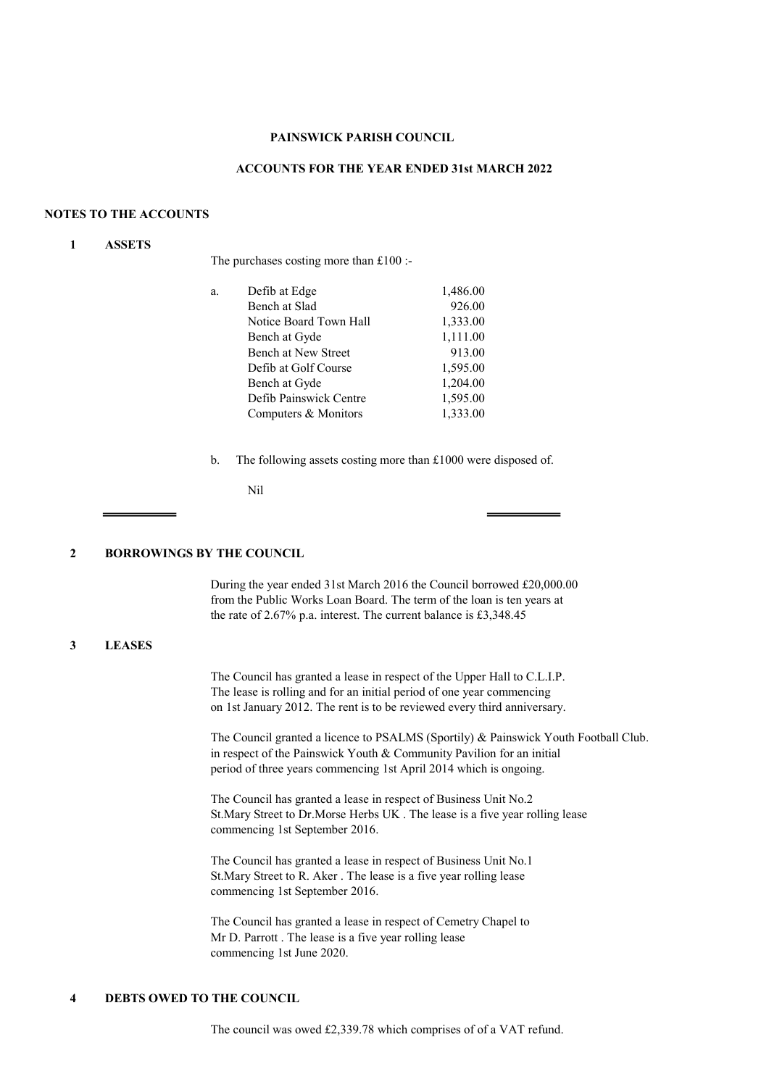#### PAINSWICK PARISH COUNCIL

### ACCOUNTS FOR THE YEAR ENDED 31st MARCH 2022

### NOTES TO THE ACCOUNTS

### 1 ASSETS

The purchases costing more than £100 :-

| a. | Defib at Edge              | 1,486.00 |
|----|----------------------------|----------|
|    | Bench at Slad              | 926.00   |
|    | Notice Board Town Hall     | 1,333.00 |
|    | Bench at Gyde              | 1,111.00 |
|    | <b>Bench at New Street</b> | 913.00   |
|    | Defib at Golf Course       | 1,595.00 |
|    | Bench at Gyde              | 1,204.00 |
|    | Defib Painswick Centre     | 1,595.00 |
|    | Computers & Monitors       | 1,333.00 |
|    |                            |          |

b. The following assets costing more than £1000 were disposed of.

Nil

#### 2 BORROWINGS BY THE COUNCIL

During the year ended 31st March 2016 the Council borrowed £20,000.00 from the Public Works Loan Board. The term of the loan is ten years at the rate of 2.67% p.a. interest. The current balance is £3,348.45

### 3 LEASES

The Council has granted a lease in respect of the Upper Hall to C.L.I.P. The lease is rolling and for an initial period of one year commencing on 1st January 2012. The rent is to be reviewed every third anniversary.

The Council granted a licence to PSALMS (Sportily) & Painswick Youth Football Club. in respect of the Painswick Youth & Community Pavilion for an initial period of three years commencing 1st April 2014 which is ongoing.

The Council has granted a lease in respect of Business Unit No.2 St.Mary Street to Dr.Morse Herbs UK . The lease is a five year rolling lease commencing 1st September 2016.

The Council has granted a lease in respect of Business Unit No.1 St.Mary Street to R. Aker . The lease is a five year rolling lease commencing 1st September 2016.

The Council has granted a lease in respect of Cemetry Chapel to Mr D. Parrott . The lease is a five year rolling lease commencing 1st June 2020.

## 4 DEBTS OWED TO THE COUNCIL

The council was owed £2,339.78 which comprises of of a VAT refund.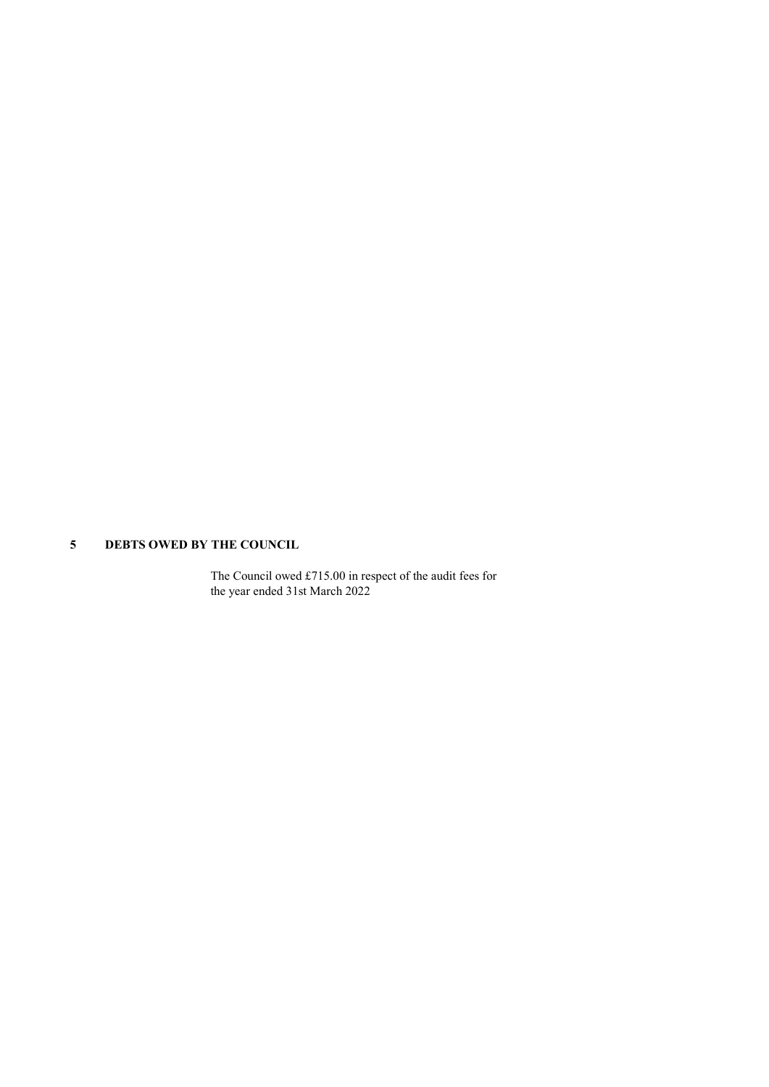# 5 DEBTS OWED BY THE COUNCIL

The Council owed £715.00 in respect of the audit fees for the year ended 31st March 2022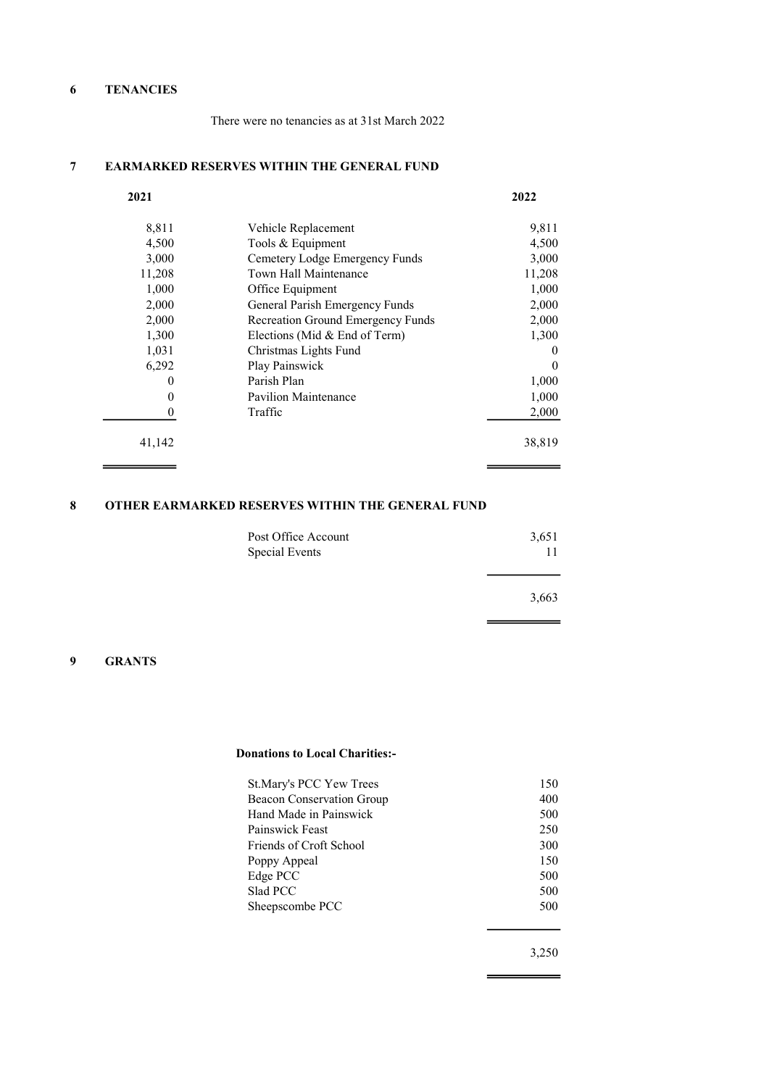# 6 TENANCIES

There were no tenancies as at 31st March 2022

# 7 EARMARKED RESERVES WITHIN THE GENERAL FUND

| 2021     |                                   | 2022     |
|----------|-----------------------------------|----------|
| 8,811    | Vehicle Replacement               | 9,811    |
| 4,500    | Tools & Equipment                 | 4,500    |
| 3,000    | Cemetery Lodge Emergency Funds    | 3,000    |
| 11,208   | Town Hall Maintenance             | 11,208   |
| 1,000    | Office Equipment                  | 1,000    |
| 2,000    | General Parish Emergency Funds    | 2,000    |
| 2,000    | Recreation Ground Emergency Funds | 2,000    |
| 1,300    | Elections (Mid & End of Term)     | 1,300    |
| 1,031    | Christmas Lights Fund             | 0        |
| 6,292    | Play Painswick                    | $\Omega$ |
| $\theta$ | Parish Plan                       | 1,000    |
| $\theta$ | Pavilion Maintenance              | 1,000    |
| 0        | Traffic                           | 2,000    |
| 41,142   |                                   | 38,819   |

# 8 OTHER EARMARKED RESERVES WITHIN THE GENERAL FUND

| Post Office Account | 3,651 |
|---------------------|-------|
| Special Events      | 11    |
|                     |       |
|                     | 3,663 |

 $\equiv$ 

۰

## 9 GRANTS

 $\overline{\phantom{0}}$ 

 $\overline{\phantom{0}}$ 

#### Donations to Local Charities:-

| St. Mary's PCC Yew Trees  | 150 |
|---------------------------|-----|
| Beacon Conservation Group | 400 |
| Hand Made in Painswick    | 500 |
| Painswick Feast           | 250 |
| Friends of Croft School   | 300 |
| Poppy Appeal              | 150 |
| Edge PCC                  | 500 |
| Slad PCC                  | 500 |
| Sheepscombe PCC           | 500 |
|                           |     |

3,250